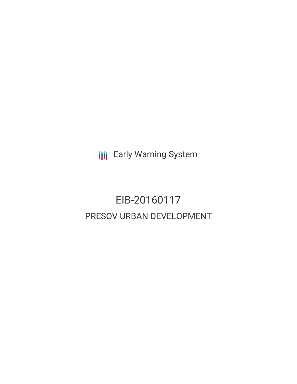**III** Early Warning System

# EIB-20160117 PRESOV URBAN DEVELOPMENT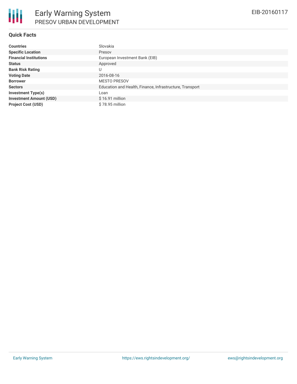## **Quick Facts**

| <b>Countries</b>               | Slovakia                                                 |
|--------------------------------|----------------------------------------------------------|
| <b>Specific Location</b>       | Presov                                                   |
| <b>Financial Institutions</b>  | European Investment Bank (EIB)                           |
| <b>Status</b>                  | Approved                                                 |
| <b>Bank Risk Rating</b>        | U                                                        |
| <b>Voting Date</b>             | 2016-08-16                                               |
| <b>Borrower</b>                | <b>MESTO PRESOV</b>                                      |
| <b>Sectors</b>                 | Education and Health, Finance, Infrastructure, Transport |
| <b>Investment Type(s)</b>      | Loan                                                     |
| <b>Investment Amount (USD)</b> | $$16.91$ million                                         |
| <b>Project Cost (USD)</b>      | \$78.95 million                                          |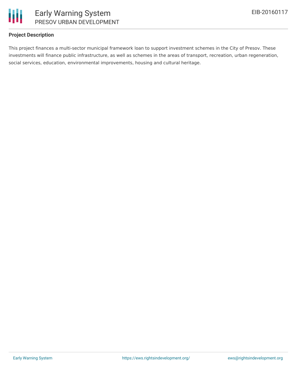

### **Project Description**

This project finances a multi-sector municipal framework loan to support investment schemes in the City of Presov. These investments will finance public infrastructure, as well as schemes in the areas of transport, recreation, urban regeneration, social services, education, environmental improvements, housing and cultural heritage.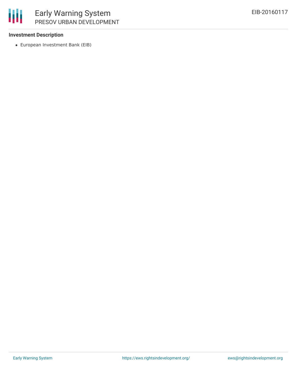

#### **Investment Description**

European Investment Bank (EIB)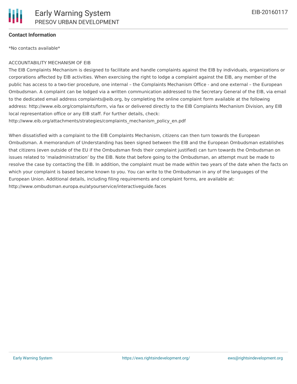

#### **Contact Information**

\*No contacts available\*

#### ACCOUNTABILITY MECHANISM OF EIB

The EIB Complaints Mechanism is designed to facilitate and handle complaints against the EIB by individuals, organizations or corporations affected by EIB activities. When exercising the right to lodge a complaint against the EIB, any member of the public has access to a two-tier procedure, one internal – the Complaints Mechanism Office - and one external – the European Ombudsman. A complaint can be lodged via a written communication addressed to the Secretary General of the EIB, via email to the dedicated email address complaints@eib.org, by completing the online complaint form available at the following address: http://www.eib.org/complaints/form, via fax or delivered directly to the EIB Complaints Mechanism Division, any EIB local representation office or any EIB staff. For further details, check:

http://www.eib.org/attachments/strategies/complaints\_mechanism\_policy\_en.pdf

When dissatisfied with a complaint to the EIB Complaints Mechanism, citizens can then turn towards the European Ombudsman. A memorandum of Understanding has been signed between the EIB and the European Ombudsman establishes that citizens (even outside of the EU if the Ombudsman finds their complaint justified) can turn towards the Ombudsman on issues related to 'maladministration' by the EIB. Note that before going to the Ombudsman, an attempt must be made to resolve the case by contacting the EIB. In addition, the complaint must be made within two years of the date when the facts on which your complaint is based became known to you. You can write to the Ombudsman in any of the languages of the European Union. Additional details, including filing requirements and complaint forms, are available at: http://www.ombudsman.europa.eu/atyourservice/interactiveguide.faces